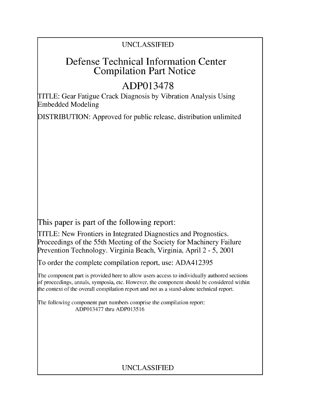## UNCLASSIFIED

# Defense Technical Information Center Compilation Part Notice

# **ADP013478**

TITLE: Gear Fatigue Crack Diagnosis by Vibration Analysis Using Embedded Modeling

DISTRIBUTION: Approved for public release, distribution unlimited

This paper is part of the following report:

TITLE: New Frontiers in Integrated Diagnostics and Prognostics. Proceedings of the 55th Meeting of the Society for Machinery Failure Prevention Technology. Virginia Beach, Virginia, April 2 - 5, 2001

To order the complete compilation report, use: ADA412395

The component part is provided here to allow users access to individually authored sections **)f** proceedings, annals, symposia, etc. However, the component should be considered within [he context of the overall compilation report and not as a stand-alone technical report.

The following component part numbers comprise the compilation report: ADP013477 thru ADP013516

# UNCLASSIFIED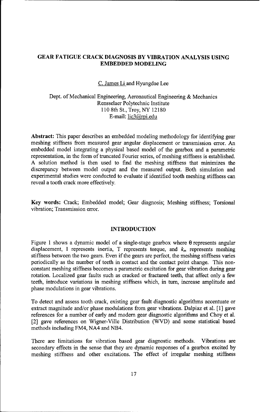## GEAR **FATIGUE** CRACK **DIAGNOSIS** BY VIBRATION **ANALYSIS USING EMBEDDED MODELING**

#### C. James Li and Hyungdae Lee

### Dept. of Mechanical Engineering, Aeronautical Engineering & Mechanics Rensselaer Polytechnic Institute 110 8th St., Troy, NY 12180 E-mail: lic3@rpi.edu

Abstract: This paper describes an embedded modeling methodology for identifying gear meshing stiffness from measured gear angular displacement or transmission error. An embedded model integrating a physical based model of the gearbox and a parametric representation, in the form of truncated Fourier series, of meshing stiffness is established. A solution method is then used to find the meshing stiffness that minimizes the discrepancy between model output and the measured output. Both simulation and experimental studies were conducted to evaluate if identified tooth meshing stiffness can reveal a tooth crack more effectively.

Key words: Crack; Embedded model; Gear diagnosis; Meshing stiffness; Torsional vibration; Transmission error.

#### INTRODUCTION

Figure 1 shows a dynamic model of a single-stage gearbox where  $\theta$  represents angular displacement, I represents inertia, T represents torque, and  $k_m$  represents meshing stiffness between the two gears. Even if the gears are perfect, the meshing stiffness varies periodically as the number of teeth in contact and the contact point change. This nonconstant meshing stiffness becomes a parametric excitation for gear vibration during gear rotation. Localized gear faults such as cracked or fractured teeth, that affect only a few teeth, introduce variations in meshing stiffness which, in turn, increase amplitude and phase modulations in gear vibrations.

To detect and assess tooth crack, existing gear fault diagnostic algorithms accentuate or extract magnitude and/or phase modulations from gear vibrations. Dalpiaz et al. [1] gave references for a number of early and modem gear diagnostic algorithms and Choy et al. [2] gave references on Wigner-Ville Distribution (WVD) and some statistical based methods including FM4, NA4 and NB4.

There are limitations for vibration based gear diagnostic methods. Vibrations are secondary effects in the sense that they are dynamic responses of a gearbox excited by meshing stiffness and other excitations. The effect of irregular meshing stiffness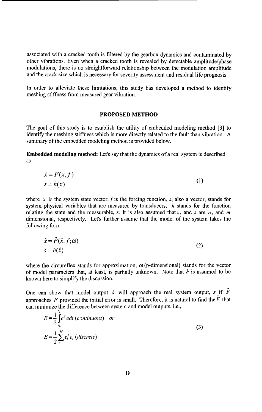associated with a cracked tooth is filtered by the gearbox dynamics and contaminated by other vibrations. Even when a cracked tooth is revealed by detectable amplitude/phase modulations, there is no straightforward relationship between the modulation amplitude and the crack size which is necessary for severity assessment and residual life prognosis.

In order to alleviate these limitations, this study has developed a method to identify meshing stiffness from measured gear vibration.

#### PROPOSED METHOD

The goal of this study is to establish the utility of embedded modeling method [3] to identify the meshing stiffness which is more directly related to the fault than vibration. A summary of the embedded modeling method is provided below.

Embedded modeling method: Let's say that the dynamics of a real system is described as

$$
\begin{aligned}\n\dot{x} &= F(x, f) \\
s &= h(x)\n\end{aligned} (1)
$$

where x is the system state vector, f is the forcing function, s, also a vector, stands for system physical variables that are measured by transducers,  $h$  stands for the function relating the state and the measurable, s. It is also assumed that x, and s are  $n$ , and  $m$ dimensional, respectively. Let's further assume that the model of the system takes the following form

$$
\dot{\hat{x}} = \hat{F}(\hat{x}, f; \omega) \n\hat{s} = h(\hat{x})
$$
\n(2)

where the circumflex stands for approximation,  $\omega$  (p-dimensional) stands for the vector of model parameters that, at least, is partially unknown. Note that h is assumed to be known here to simplify the discussion.

One can show that model output  $\hat{s}$  will approach the real system output,  $s$  if  $\hat{F}$ approaches F provided the initial error is small. Therefore, it is natural to find the  $\hat{F}$  that can minimize the difference between system and model outputs, i.e.,

$$
E = \frac{1}{2} \int_{t_0}^{t} e^T e dt \text{ (continuous) or}
$$
  
\n
$$
E = \frac{1}{2} \sum_{i=1}^{M} e_i^T e_i \text{ (discrete)}
$$
\n(3)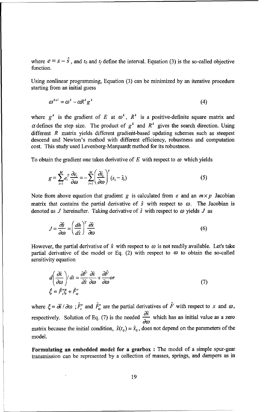where  $e = s - \hat{s}$ , and  $t_0$  and  $t_f$  define the interval. Equation (3) is the so-called objective function.

Using nonlinear programming, Equation (3) can be minimized by an iterative procedure starting from an initial guess

$$
\omega^{k+1} = \omega^k - \alpha R^k g^k \tag{4}
$$

where  $g^k$  is the gradient of *E* at  $\omega^k$ ,  $R^k$  is a positive-definite square matrix and  $\alpha$  defines the step size. The product of  $g^k$  and  $R^k$  gives the search direction. Using different R matrix yields different gradient-based updating schemes such as steepest descend and Newton's method with different efficiency, robustness and computation cost. This study used Levenberg-Marquardt method for its robustness.

To obtain the gradient one takes derivative of  $E$  with respect to  $\omega$  which yields

$$
g = \sum_{i=1}^{M} e_i^T \frac{\partial e_i}{\partial \omega} = -\sum_{i=1}^{M} \left( \frac{\partial \hat{s}_i}{\partial \omega} \right)^T (s_i - \hat{s}_i)
$$
 (5)

Note from above equation that gradient g is calculated from e and an  $m \times p$  Jacobian matrix that contains the partial derivative of  $\hat{s}$  with respect to  $\omega$ . The Jacobian is denoted as J hereinafter. Taking derivative of  $\hat{s}$  with respect to  $\omega$  yields J as

$$
J = \frac{\partial \hat{s}}{\partial \omega} = \left(\frac{dh}{d\hat{x}}\right)^T \frac{\partial \hat{x}}{\partial \omega}
$$
 (6)

However, the partial derivative of  $\hat{x}$  with respect to  $\omega$  is not readily available. Let's take partial derivative of the model or Eq. (2) with respect to  $\omega$  to obtain the so-called sensitivity equation

$$
d\left(\frac{\partial \hat{x}}{\partial \omega}\right)/dt = \frac{\partial \hat{F}}{\partial \hat{x}}\frac{\partial \hat{x}}{\partial \omega} + \frac{\partial \hat{F}}{\partial \omega}or
$$
  

$$
\dot{\xi} = \hat{F}'_{\lambda}\xi + \hat{F}'_{\omega}
$$
 (7)

where  $\xi = \frac{\partial \hat{x}}{\partial \omega}$ ;  $\hat{F}'$  and  $\hat{F}'$  are the partial derivatives of  $\hat{F}$  with respect to x and  $\omega$ , respectively. Solution of Eq. (7) is the needed  $\frac{\partial \hat{x}}{\partial \omega}$  which has an initial value as a zero matrix because the initial condition,  $\hat{x}(t_0) = \hat{x}_0$ , does not depend on the parameters of the model.

Formulating an embedded model for a gearbox **:** The model of a simple spur-gear transmission can be represented by a collection of masses, springs, and dampers as in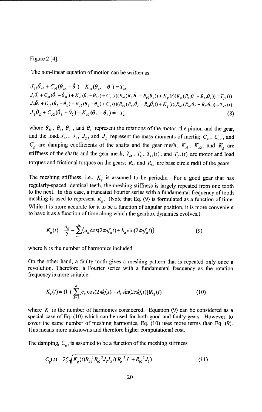Figure 2 [4].

The non-linear equation of motion can be written as:

 $J_M \ddot{\theta}_M + C_{\alpha} (\dot{\theta}_M - \dot{\theta}_1) + K_{\alpha} (\theta_M - \theta_1) = T_M$  $J_1 \ddot{\theta}_1 + C_{s1} (\dot{\theta}_1 - \dot{\theta}_M) + K_{s1} (\theta_1 - \theta_M) + C_g (t) (R_{b1} (R_{b1} \dot{\theta}_1 - R_{b2} \dot{\theta}_2)) + K_g (t) (R_{b1} (R_{b1} \theta_1 - R_{b2} \theta_2)) = T_{f1}(t)$  $J_{2}\ddot{\theta}_{2}+C_{s2}(\dot{\theta}_{2}-\dot{\theta}_{L})+K_{s2}(\theta_{2}-\theta_{L})+C_{g}(t)(R_{h2}(R_{h2}\dot{\theta}_{2}-R_{h1}\dot{\theta}_{1}))+K_{g}(t)(R_{h2}(R_{h2}\theta_{2}-R_{h1}\theta_{1}))=T_{f2}(t)$  $J_{\iota} \ddot{\theta}_{\iota} + C_{s2} (\dot{\theta}_{\iota} - \dot{\theta}_{2}) + K_{s2} (\theta_{\iota} - \theta_{2}) = -T_{\iota}$  (8)

where  $\theta_M$ ,  $\theta_1$ ,  $\theta_2$ , and  $\theta_L$  represent the rotations of the motor, the pinion and the gear, and the load;  $J_M$ ,  $J_1$ ,  $J_2$ , and  $J_L$  represent the mass moments of inertia;  $C_{s1}$ ,  $C_{s2}$ , and  $C_g$  are damping coefficients of the shafts and the gear mesh;  $K_{s1}$ ,  $K_{s2}$ , and  $K_g$  are stiffness of the shafts and the gear mesh;  $T_M$ ,  $T_L$ ,  $T_{r1}(t)$ , and  $T_{r2}(t)$  are motor and load torques and frictional torques on the gears;  $R_{b1}$  and  $R_{b2}$  are base circle radii of the gears.

The meshing stiffness, i.e.,  $K_g$  is assumed to be periodic. For a good gear that has regularly-spaced identical teeth, the meshing stiffness is largely repeated from one tooth to the next. In this case, a truncated Fourier series with a fundamental frequency of tooth meshing is used to represent  $K_g$ . (Note that Eq. (9) is formulated as a function of time. While it is more accurate for it to be a function of angular position, it is more convenient to have it as a function of time along which the gearbox dynamics evolves.)

$$
K_g(t) = \frac{a_0}{2} + \sum_{n=1}^{N} (a_n \cos(2\pi \nu f_m t) + b_n \sin(2\pi \nu f_m t))
$$
(9)

where N is the number of harmonics included.

On the other hand, a faulty tooth gives a meshing pattern that is repeated only once a revolution. Therefore, a Fourier series with a fundamental frequency as the rotation frequency is more suitable.

$$
K_g(t) = (1 + \sum_{k=1}^{K} [c_k \cos(2\pi k f_s t) + d_k \sin(2\pi k f_s t)]) K_g(t)
$$
\n(10)

where K is the number of harmonics considered. Equation (9) can be considered as a special case of Eq. (10) which can be used for both good and faulty gears. However, to cover the same number of meshing harmonics, Eq. (10) uses more terms than Eq. (9). This means more unknowns and therefore higher computational cost.

The damping,  $C_g$ , is assumed to be a function of the meshing stiffness

$$
C_g(t) = 2\zeta \sqrt{K_g(t)R_{b1}^2R_{b2}^2J_1J_2/(R_{b1}^2J_1 + R_{b2}^2J_2)}
$$
\n(11)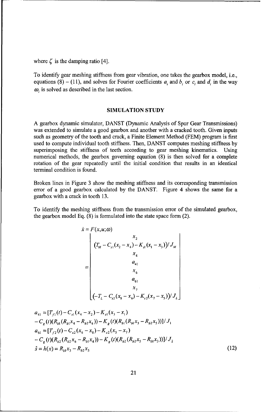where  $\zeta$  is the damping ratio [4].

To identify gear meshing stiffness from gear vibration, one takes the gearbox model, i.e., equations (8) – (11), and solves for Fourier coefficients  $a_i$ , and  $b_i$ , or  $c_i$ , and  $d_i$  in the way  $\omega_i$  is solved as described in the last section.

#### SIMULATION STUDY

A gearbox dynamic simulator, DANST (Dynamic Analysis of Spur Gear Transmissions) was extended to simulate a good gearbox and another with a cracked tooth. Given inputs such as geometry of the tooth and crack, a Finite Element Method (FEM) program is first used to compute individual tooth stiffness. Then, DANST computes meshing stiffness by superimposing the stiffness of teeth according to gear meshing kinematics. Using numerical methods, the gearbox governing equation (8) is then solved for a complete rotation of the gear repeatedly until the initial condition that results in an identical terminal condition is found.

Broken lines in Figure 3 show the meshing stiffness and its corresponding transmission error of a good gearbox calculated by the DANST. Figure 4 shows the same for a gearbox with a crack in tooth 13.

To identify the meshing stiffness from the transmission error of the simulated gearbox, the gearbox model Eq. (8) is formulated into the state space form (2).

$$
\dot{x} = F(x, u; \omega)
$$
\n
$$
= \begin{bmatrix}\nx_2 \\
(T_M - C_{s1}(x_2 - x_4) - K_{s1}(x_1 - x_3)) / J_M \\
x_4 \\
a_4 \\
x_6 \\
a_6 \\
x_7 \\
(-T_L - C_{s2}(x_8 - x_6) - K_{s2}(x_7 - x_5)) / J_L\n\end{bmatrix}
$$

$$
a_{41} = [T_{f1}(t) - C_{s1}(x_4 - x_2) - K_{s1}(x_3 - x_1)
$$
  
\n
$$
- C_g(t)(R_{b1}(R_{b1}x_4 - R_{b2}x_6)) - K_g(t)(R_{b1}(R_{b1}x_3 - R_{b2}x_5))]/J_1
$$
  
\n
$$
a_{61} = [T_{f2}(t) - C_{s2}(x_6 - x_8) - K_{s2}(x_5 - x_7)
$$
  
\n
$$
- C_g(t)(R_{b2}(R_{b2}x_6 - R_{b1}x_4)) - K_g(t)(R_{b2}(R_{b2}x_5 - R_{b1}x_3))]/J_2
$$
  
\n
$$
\hat{s} = h(x) = R_{b1}x_3 - R_{b2}x_5
$$
\n(12)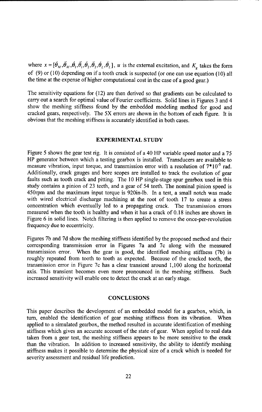where  $x = [\dot{\theta}_M, \dot{\theta}_M, \dot{\theta}_1, \dot{\theta}_1, \dot{\theta}_2, \dot{\theta}_2, \dot{\theta}_L]$ , *u* is the external excitation, and *K<sub>g</sub>* takes the form of (9) or (10) depending on if a tooth crack is suspected (or one can use equation (10) all the time at the expense of higher computational cost in the case of a good gear.)

The sensitivity equations for (12) are then derived so that gradients can be calculated to carry out a search for optimal value of Fourier coefficients. Solid lines in Figures 3 and 4 show the meshing stiffness found by the embedded modeling method for good and cracked gears, respectively. The 5X errors are shown in the bottom of each figure. It is obvious that the meshing stiffness is accurately identified in both cases.

### EXPERIMENTAL STUDY

Figure 5 shows the gear test rig. It is consisted of a 40 HP variable speed motor and a 75 HP generator between which a testing gearbox is installed. Transducers are available to measure vibration, input torque, and transmission error with a resolution of 7\* **10-5** rad. Additionally, crack gauges and bore scopes are installed to track the evolution of gear faults such as tooth crack and pitting. The 10 HP single-stage spur gearbox used in this study contains a pinion of 23 teeth, and a gear of 54 teeth. The nominal pinion speed is 450rpm and the maximum input torque is 920in-lb. In a test, a small notch was made with wired electrical discharge machining at the root of tooth 17 to create a stress concentration which eventually led to a propagating crack. The transmission errors measured when the tooth is healthy and when it has a crack of 0. 18 inches are shown in Figure 6 in solid lines. Notch filtering is then applied to remove the once-per-revolution frequency due to eccentricity.

Figures 7b and 7d show the meshing stiffness identified by the proposed method and their corresponding transmission error in Figures 7a and 7c along with the measured transmission error. When the gear is good, the identified meshing stiffness (7b) is roughly repeated from tooth to tooth as expected. Because of the cracked tooth, the transmission error in Figure 7c has a clear transient around 1,100 along the horizontal axis. This transient becomes even more pronounced in the meshing stiffness. Such increased sensitivity will enable one to detect the crack at an early stage.

#### **CONCLUSIONS**

This paper describes the development of an embedded model for a gearbox, which, in turn, enabled the identification of gear meshing stiffness from its vibration. When applied to a simulated gearbox, the method resulted in accurate identification of meshing stiffness which gives an accurate account of the state of gear. When applied to real data taken from a gear test, the meshing stiffness appears to be more sensitive to the crack than the vibration. In addition to increased sensitivity, the ability to identify meshing stiffness makes it possible to determine the physical size of a crack which is needed for severity assessment and residual life prediction.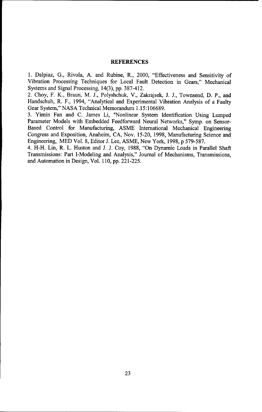#### REFERENCES

1. Dalpiaz, G., Rivola, A. and Rubine, R., 2000, "Effectiveness and Sensitivity of Vibration Processing Techniques for Local Fault Detection in Gears," Mechanical Systems and Signal Processing, 14(3), pp. 387-412.

2. Choy, F. K., Braun, M. J., Polyshchuk, V., Zakrajsek, J. J., Townsend, D. P., and Handschuh, R. F., 1994, "Analytical and Experimental Vibration Analysis of a Faulty Gear System," NASA Technical Memorandum 1.15:106689.

3. Yimin Fan and C. James Li, "Nonlinear System Identification Using Lumped Parameter Models with Embedded Feedforward Neural Networks," Symp. on Sensor-Based Control for Manufacturing, ASME International Mechanical Engineering Congress and Exposition, Anaheim, CA, Nov. 15-20, 1998, Manufacturing Science and Engineering, MED Vol. 8, Editor J. Lee, ASME, New York, 1998, p 579-587.

4. H-H. Lin, R. L. Huston and J. J. Coy, 1988, "On Dynamic Loads in Parallel Shaft Transmissions: Part I-Modeling and Analysis," Journal of Mechanisms, Transmissions, and Automation in Design, Vol. 110, pp. 221-225.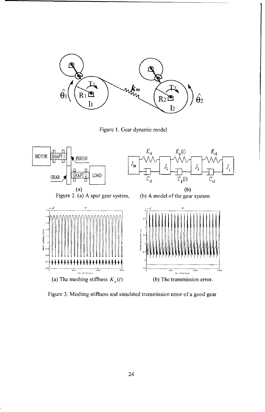

Figure I. Gear dynamic model



Figure 3. Meshing stiffhess and simulated transmission error of a good gear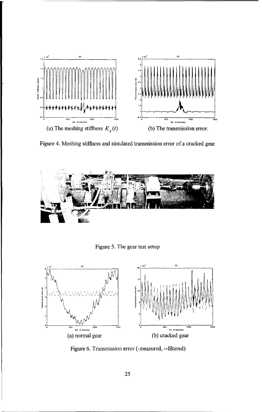

Figure 4. Meshing stiffness and simulated transmission error of a cracked gear



Figure *5.* The gear test setup



Figure 6. Transmission error (-measured, --filtered)